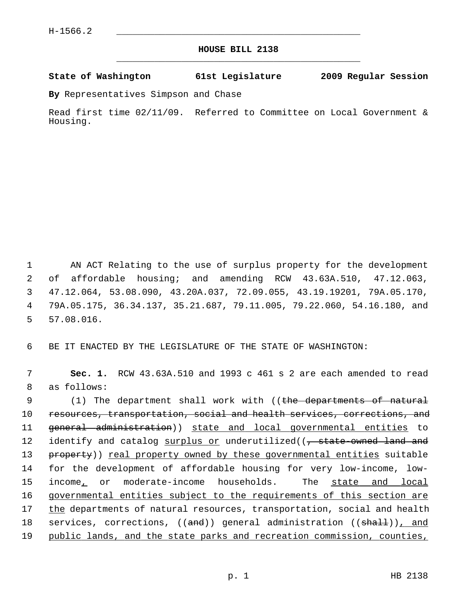## **HOUSE BILL 2138** \_\_\_\_\_\_\_\_\_\_\_\_\_\_\_\_\_\_\_\_\_\_\_\_\_\_\_\_\_\_\_\_\_\_\_\_\_\_\_\_\_\_\_\_\_

## **State of Washington 61st Legislature 2009 Regular Session**

**By** Representatives Simpson and Chase

Read first time 02/11/09. Referred to Committee on Local Government & Housing.

 1 AN ACT Relating to the use of surplus property for the development 2 of affordable housing; and amending RCW 43.63A.510, 47.12.063, 3 47.12.064, 53.08.090, 43.20A.037, 72.09.055, 43.19.19201, 79A.05.170, 4 79A.05.175, 36.34.137, 35.21.687, 79.11.005, 79.22.060, 54.16.180, and 5 57.08.016.

6 BE IT ENACTED BY THE LEGISLATURE OF THE STATE OF WASHINGTON:

 7 **Sec. 1.** RCW 43.63A.510 and 1993 c 461 s 2 are each amended to read 8 as follows:

9 (1) The department shall work with ((the departments of natural 10 resources, transportation, social and health services, corrections, and 11 general administration)) state and local governmental entities to 12 identify and catalog surplus or underutilized((, state-owned land and 13 property)) real property owned by these governmental entities suitable 14 for the development of affordable housing for very low-income, low-15 income, or moderate-income households. The state and local 16 governmental entities subject to the requirements of this section are 17 the departments of natural resources, transportation, social and health 18 services, corrections, ((and)) general administration ((shall)), and 19 public lands, and the state parks and recreation commission, counties,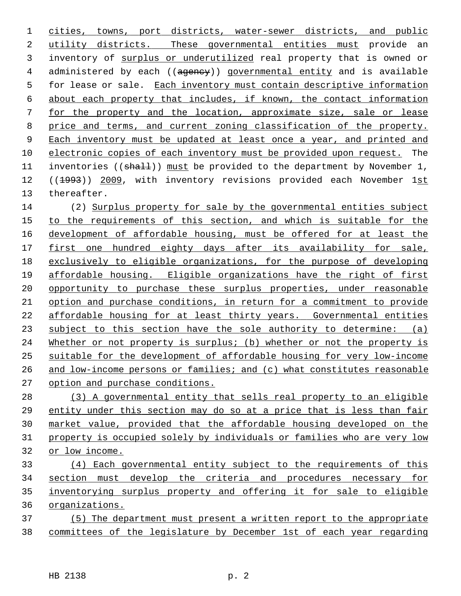cities, towns, port districts, water-sewer districts, and public utility districts. These governmental entities must provide an 3 inventory of surplus or underutilized real property that is owned or 4 administered by each ((agency)) governmental entity and is available 5 for lease or sale. Each inventory must contain descriptive information about each property that includes, if known, the contact information for the property and the location, approximate size, sale or lease price and terms, and current zoning classification of the property. Each inventory must be updated at least once a year, and printed and electronic copies of each inventory must be provided upon request. The 11 inventories ( $(\text{shalt})$ ) must be provided to the department by November 1, 12 ((1993)) 2009, with inventory revisions provided each November 1st 13 thereafter.

14 (2) Surplus property for sale by the governmental entities subject to the requirements of this section, and which is suitable for the development of affordable housing, must be offered for at least the first one hundred eighty days after its availability for sale, exclusively to eligible organizations, for the purpose of developing 19 affordable housing. Eligible organizations have the right of first opportunity to purchase these surplus properties, under reasonable option and purchase conditions, in return for a commitment to provide affordable housing for at least thirty years. Governmental entities subject to this section have the sole authority to determine: (a) Whether or not property is surplus; (b) whether or not the property is suitable for the development of affordable housing for very low-income and low-income persons or families; and (c) what constitutes reasonable option and purchase conditions.

 (3) A governmental entity that sells real property to an eligible entity under this section may do so at a price that is less than fair market value, provided that the affordable housing developed on the property is occupied solely by individuals or families who are very low or low income.

 (4) Each governmental entity subject to the requirements of this section must develop the criteria and procedures necessary for inventorying surplus property and offering it for sale to eligible organizations.

 (5) The department must present a written report to the appropriate committees of the legislature by December 1st of each year regarding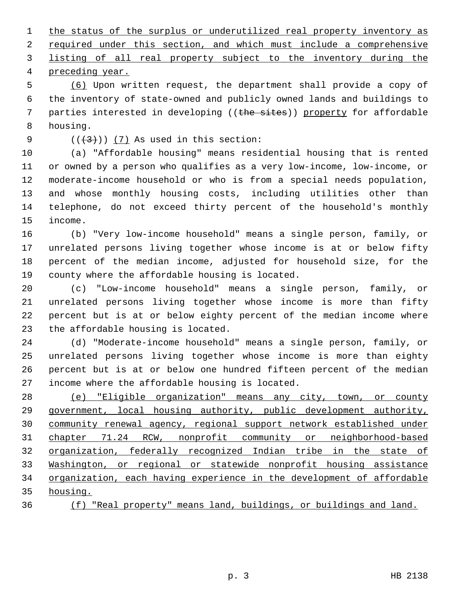the status of the surplus or underutilized real property inventory as required under this section, and which must include a comprehensive listing of all real property subject to the inventory during the preceding year.

 5 (6) Upon written request, the department shall provide a copy of 6 the inventory of state-owned and publicly owned lands and buildings to 7 parties interested in developing ((the sites)) property for affordable 8 housing.

9  $((+3)^{n})$   $(7)$  As used in this section:

10 (a) "Affordable housing" means residential housing that is rented 11 or owned by a person who qualifies as a very low-income, low-income, or 12 moderate-income household or who is from a special needs population, 13 and whose monthly housing costs, including utilities other than 14 telephone, do not exceed thirty percent of the household's monthly 15 income.

16 (b) "Very low-income household" means a single person, family, or 17 unrelated persons living together whose income is at or below fifty 18 percent of the median income, adjusted for household size, for the 19 county where the affordable housing is located.

20 (c) "Low-income household" means a single person, family, or 21 unrelated persons living together whose income is more than fifty 22 percent but is at or below eighty percent of the median income where 23 the affordable housing is located.

24 (d) "Moderate-income household" means a single person, family, or 25 unrelated persons living together whose income is more than eighty 26 percent but is at or below one hundred fifteen percent of the median 27 income where the affordable housing is located.

 (e) "Eligible organization" means any city, town, or county government, local housing authority, public development authority, community renewal agency, regional support network established under chapter 71.24 RCW, nonprofit community or neighborhood-based organization, federally recognized Indian tribe in the state of Washington, or regional or statewide nonprofit housing assistance organization, each having experience in the development of affordable 35 housing.

36 (f) "Real property" means land, buildings, or buildings and land.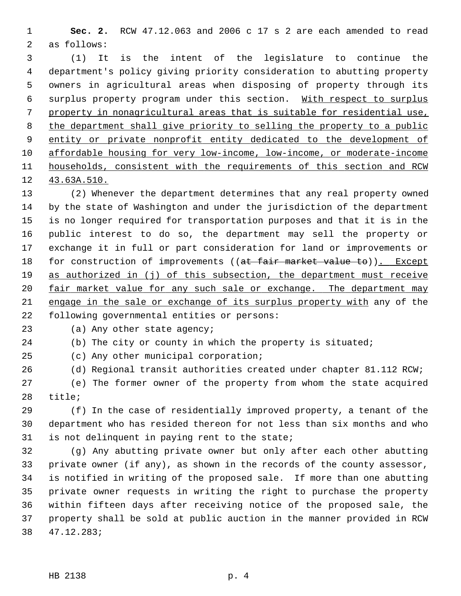1 **Sec. 2.** RCW 47.12.063 and 2006 c 17 s 2 are each amended to read 2 as follows:

 3 (1) It is the intent of the legislature to continue the 4 department's policy giving priority consideration to abutting property 5 owners in agricultural areas when disposing of property through its 6 surplus property program under this section. With respect to surplus 7 property in nonagricultural areas that is suitable for residential use, 8 the department shall give priority to selling the property to a public 9 entity or private nonprofit entity dedicated to the development of 10 affordable housing for very low-income, low-income, or moderate-income 11 households, consistent with the requirements of this section and RCW 12 43.63A.510.

13 (2) Whenever the department determines that any real property owned 14 by the state of Washington and under the jurisdiction of the department 15 is no longer required for transportation purposes and that it is in the 16 public interest to do so, the department may sell the property or 17 exchange it in full or part consideration for land or improvements or 18 for construction of improvements ((at fair market value to)). Except 19 as authorized in (j) of this subsection, the department must receive 20 fair market value for any such sale or exchange. The department may 21 engage in the sale or exchange of its surplus property with any of the 22 following governmental entities or persons:

23 (a) Any other state agency;

24 (b) The city or county in which the property is situated;

25 (c) Any other municipal corporation;

26 (d) Regional transit authorities created under chapter 81.112 RCW;

27 (e) The former owner of the property from whom the state acquired 28 title;

29 (f) In the case of residentially improved property, a tenant of the 30 department who has resided thereon for not less than six months and who 31 is not delinquent in paying rent to the state;

32 (g) Any abutting private owner but only after each other abutting 33 private owner (if any), as shown in the records of the county assessor, 34 is notified in writing of the proposed sale. If more than one abutting 35 private owner requests in writing the right to purchase the property 36 within fifteen days after receiving notice of the proposed sale, the 37 property shall be sold at public auction in the manner provided in RCW 38 47.12.283;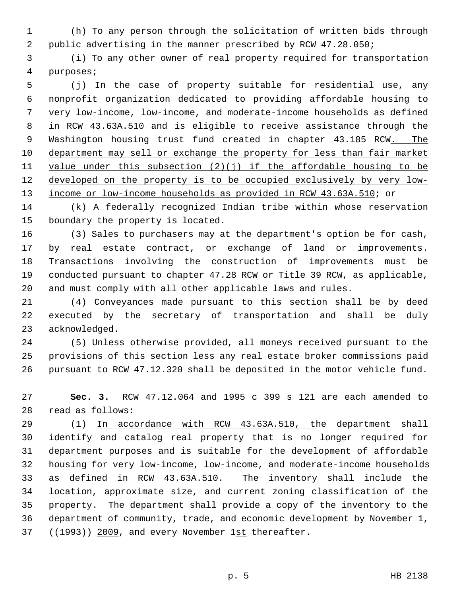1 (h) To any person through the solicitation of written bids through 2 public advertising in the manner prescribed by RCW 47.28.050;

 3 (i) To any other owner of real property required for transportation 4 purposes;

 5 (j) In the case of property suitable for residential use, any 6 nonprofit organization dedicated to providing affordable housing to 7 very low-income, low-income, and moderate-income households as defined 8 in RCW 43.63A.510 and is eligible to receive assistance through the 9 Washington housing trust fund created in chapter 43.185 RCW. The 10 department may sell or exchange the property for less than fair market 11 value under this subsection  $(2)(j)$  if the affordable housing to be 12 developed on the property is to be occupied exclusively by very low-13 income or low-income households as provided in RCW 43.63A.510; or

14 (k) A federally recognized Indian tribe within whose reservation 15 boundary the property is located.

16 (3) Sales to purchasers may at the department's option be for cash, 17 by real estate contract, or exchange of land or improvements. 18 Transactions involving the construction of improvements must be 19 conducted pursuant to chapter 47.28 RCW or Title 39 RCW, as applicable, 20 and must comply with all other applicable laws and rules.

21 (4) Conveyances made pursuant to this section shall be by deed 22 executed by the secretary of transportation and shall be duly 23 acknowledged.

24 (5) Unless otherwise provided, all moneys received pursuant to the 25 provisions of this section less any real estate broker commissions paid 26 pursuant to RCW 47.12.320 shall be deposited in the motor vehicle fund.

27 **Sec. 3.** RCW 47.12.064 and 1995 c 399 s 121 are each amended to 28 read as follows:

29 (1) In accordance with RCW 43.63A.510, the department shall 30 identify and catalog real property that is no longer required for 31 department purposes and is suitable for the development of affordable 32 housing for very low-income, low-income, and moderate-income households 33 as defined in RCW 43.63A.510. The inventory shall include the 34 location, approximate size, and current zoning classification of the 35 property. The department shall provide a copy of the inventory to the 36 department of community, trade, and economic development by November 1, 37 ((<del>1993</del>)) 2009, and every November 1st thereafter.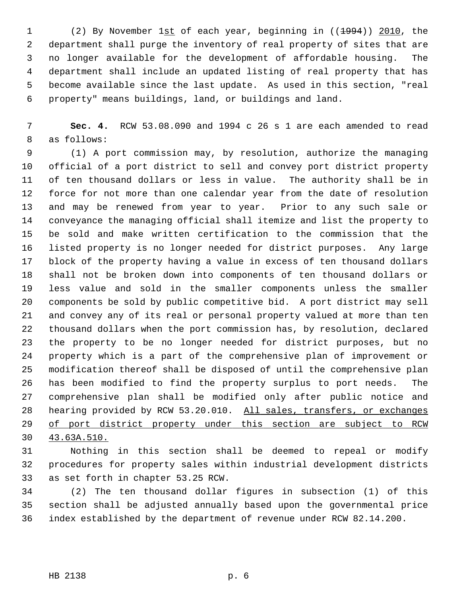1 (2) By November 1st of each year, beginning in ((1994)) 2010, the 2 department shall purge the inventory of real property of sites that are 3 no longer available for the development of affordable housing. The 4 department shall include an updated listing of real property that has 5 become available since the last update. As used in this section, "real 6 property" means buildings, land, or buildings and land.

 7 **Sec. 4.** RCW 53.08.090 and 1994 c 26 s 1 are each amended to read 8 as follows:

 9 (1) A port commission may, by resolution, authorize the managing 10 official of a port district to sell and convey port district property 11 of ten thousand dollars or less in value. The authority shall be in 12 force for not more than one calendar year from the date of resolution 13 and may be renewed from year to year. Prior to any such sale or 14 conveyance the managing official shall itemize and list the property to 15 be sold and make written certification to the commission that the 16 listed property is no longer needed for district purposes. Any large 17 block of the property having a value in excess of ten thousand dollars 18 shall not be broken down into components of ten thousand dollars or 19 less value and sold in the smaller components unless the smaller 20 components be sold by public competitive bid. A port district may sell 21 and convey any of its real or personal property valued at more than ten 22 thousand dollars when the port commission has, by resolution, declared 23 the property to be no longer needed for district purposes, but no 24 property which is a part of the comprehensive plan of improvement or 25 modification thereof shall be disposed of until the comprehensive plan 26 has been modified to find the property surplus to port needs. The 27 comprehensive plan shall be modified only after public notice and 28 hearing provided by RCW 53.20.010. All sales, transfers, or exchanges 29 of port district property under this section are subject to RCW 30 43.63A.510.

31 Nothing in this section shall be deemed to repeal or modify 32 procedures for property sales within industrial development districts 33 as set forth in chapter 53.25 RCW.

34 (2) The ten thousand dollar figures in subsection (1) of this 35 section shall be adjusted annually based upon the governmental price 36 index established by the department of revenue under RCW 82.14.200.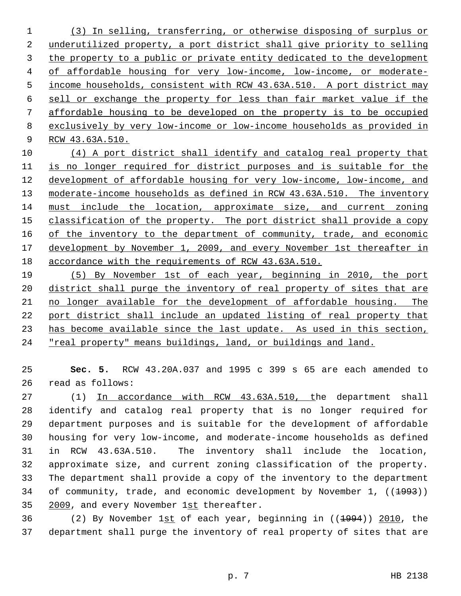(3) In selling, transferring, or otherwise disposing of surplus or underutilized property, a port district shall give priority to selling the property to a public or private entity dedicated to the development of affordable housing for very low-income, low-income, or moderate- income households, consistent with RCW 43.63A.510. A port district may sell or exchange the property for less than fair market value if the affordable housing to be developed on the property is to be occupied exclusively by very low-income or low-income households as provided in RCW 43.63A.510.

 (4) A port district shall identify and catalog real property that is no longer required for district purposes and is suitable for the development of affordable housing for very low-income, low-income, and moderate-income households as defined in RCW 43.63A.510. The inventory must include the location, approximate size, and current zoning classification of the property. The port district shall provide a copy of the inventory to the department of community, trade, and economic development by November 1, 2009, and every November 1st thereafter in accordance with the requirements of RCW 43.63A.510.

 (5) By November 1st of each year, beginning in 2010, the port district shall purge the inventory of real property of sites that are no longer available for the development of affordable housing. The port district shall include an updated listing of real property that 23 has become available since the last update. As used in this section, "real property" means buildings, land, or buildings and land.

 **Sec. 5.** RCW 43.20A.037 and 1995 c 399 s 65 are each amended to 26 read as follows:

27 (1) In accordance with RCW 43.63A.510, the department shall 28 identify and catalog real property that is no longer required for 29 department purposes and is suitable for the development of affordable 30 housing for very low-income, and moderate-income households as defined 31 in RCW 43.63A.510. The inventory shall include the location, 32 approximate size, and current zoning classification of the property. 33 The department shall provide a copy of the inventory to the department 34 of community, trade, and economic development by November 1, ((<del>1993</del>)) 2009, and every November 1st thereafter.

36 (2) By November 1st of each year, beginning in ((1994)) 2010, the 37 department shall purge the inventory of real property of sites that are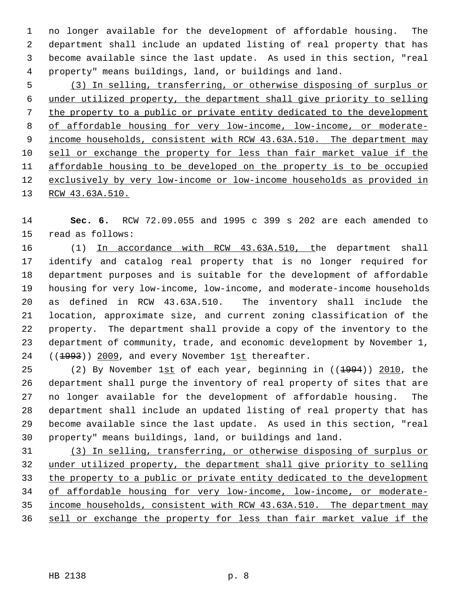1 no longer available for the development of affordable housing. The 2 department shall include an updated listing of real property that has 3 become available since the last update. As used in this section, "real 4 property" means buildings, land, or buildings and land.

 (3) In selling, transferring, or otherwise disposing of surplus or under utilized property, the department shall give priority to selling the property to a public or private entity dedicated to the development of affordable housing for very low-income, low-income, or moderate- income households, consistent with RCW 43.63A.510. The department may sell or exchange the property for less than fair market value if the affordable housing to be developed on the property is to be occupied exclusively by very low-income or low-income households as provided in RCW 43.63A.510.

14 **Sec. 6.** RCW 72.09.055 and 1995 c 399 s 202 are each amended to 15 read as follows:

16 (1) In accordance with RCW 43.63A.510, the department shall 17 identify and catalog real property that is no longer required for 18 department purposes and is suitable for the development of affordable 19 housing for very low-income, low-income, and moderate-income households 20 as defined in RCW 43.63A.510. The inventory shall include the 21 location, approximate size, and current zoning classification of the 22 property. The department shall provide a copy of the inventory to the 23 department of community, trade, and economic development by November 1, 24 ((1993)) 2009, and every November 1st thereafter.

25 (2) By November 1st of each year, beginning in ((<del>1994</del>)) 2010, the 26 department shall purge the inventory of real property of sites that are 27 no longer available for the development of affordable housing. The 28 department shall include an updated listing of real property that has 29 become available since the last update. As used in this section, "real 30 property" means buildings, land, or buildings and land.

 (3) In selling, transferring, or otherwise disposing of surplus or under utilized property, the department shall give priority to selling the property to a public or private entity dedicated to the development of affordable housing for very low-income, low-income, or moderate- income households, consistent with RCW 43.63A.510. The department may sell or exchange the property for less than fair market value if the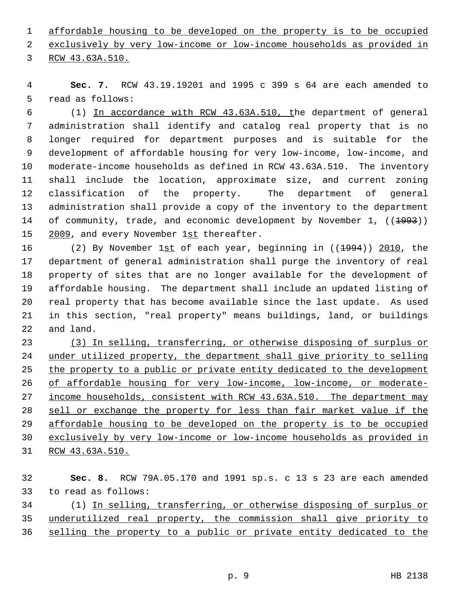1 affordable housing to be developed on the property is to be occupied 2 exclusively by very low-income or low-income households as provided in

3 RCW 43.63A.510.

 4 **Sec. 7.** RCW 43.19.19201 and 1995 c 399 s 64 are each amended to 5 read as follows:

 6 (1) In accordance with RCW 43.63A.510, the department of general 7 administration shall identify and catalog real property that is no 8 longer required for department purposes and is suitable for the 9 development of affordable housing for very low-income, low-income, and 10 moderate-income households as defined in RCW 43.63A.510. The inventory 11 shall include the location, approximate size, and current zoning 12 classification of the property. The department of general 13 administration shall provide a copy of the inventory to the department 14 of community, trade, and economic development by November 1, ((<del>1993</del>)) 15 2009, and every November 1st thereafter.

16 (2) By November 1st of each year, beginning in ((1994)) 2010, the 17 department of general administration shall purge the inventory of real 18 property of sites that are no longer available for the development of 19 affordable housing. The department shall include an updated listing of 20 real property that has become available since the last update. As used 21 in this section, "real property" means buildings, land, or buildings 22 and land.

 (3) In selling, transferring, or otherwise disposing of surplus or under utilized property, the department shall give priority to selling the property to a public or private entity dedicated to the development of affordable housing for very low-income, low-income, or moderate-27 income households, consistent with RCW 43.63A.510. The department may sell or exchange the property for less than fair market value if the affordable housing to be developed on the property is to be occupied exclusively by very low-income or low-income households as provided in RCW 43.63A.510.

32 **Sec. 8.** RCW 79A.05.170 and 1991 sp.s. c 13 s 23 are each amended 33 to read as follows: 34 (1) In selling, transferring, or otherwise disposing of surplus or 35 underutilized real property, the commission shall give priority to 36 selling the property to a public or private entity dedicated to the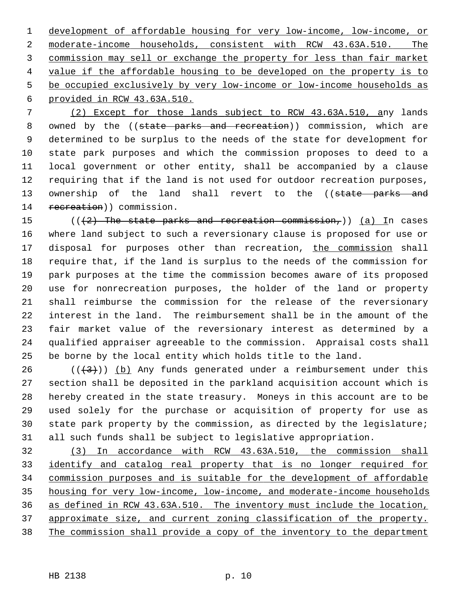development of affordable housing for very low-income, low-income, or moderate-income households, consistent with RCW 43.63A.510. The commission may sell or exchange the property for less than fair market value if the affordable housing to be developed on the property is to be occupied exclusively by very low-income or low-income households as provided in RCW 43.63A.510.

 7 (2) Except for those lands subject to RCW 43.63A.510, any lands 8 owned by the ((state parks and recreation)) commission, which are 9 determined to be surplus to the needs of the state for development for 10 state park purposes and which the commission proposes to deed to a 11 local government or other entity, shall be accompanied by a clause 12 requiring that if the land is not used for outdoor recreation purposes, 13 ownership of the land shall revert to the ((state parks and 14 recreation)) commission.

15 ( $((2)$  The state parks and recreation commission,)) (a) In cases 16 where land subject to such a reversionary clause is proposed for use or 17 disposal for purposes other than recreation, the commission shall 18 require that, if the land is surplus to the needs of the commission for 19 park purposes at the time the commission becomes aware of its proposed 20 use for nonrecreation purposes, the holder of the land or property 21 shall reimburse the commission for the release of the reversionary 22 interest in the land. The reimbursement shall be in the amount of the 23 fair market value of the reversionary interest as determined by a 24 qualified appraiser agreeable to the commission. Appraisal costs shall 25 be borne by the local entity which holds title to the land.

26 ( $(\frac{43}{1})$ ) (b) Any funds generated under a reimbursement under this 27 section shall be deposited in the parkland acquisition account which is 28 hereby created in the state treasury. Moneys in this account are to be 29 used solely for the purchase or acquisition of property for use as 30 state park property by the commission, as directed by the legislature; 31 all such funds shall be subject to legislative appropriation.

 (3) In accordance with RCW 43.63A.510, the commission shall identify and catalog real property that is no longer required for commission purposes and is suitable for the development of affordable housing for very low-income, low-income, and moderate-income households as defined in RCW 43.63A.510. The inventory must include the location, approximate size, and current zoning classification of the property. 38 The commission shall provide a copy of the inventory to the department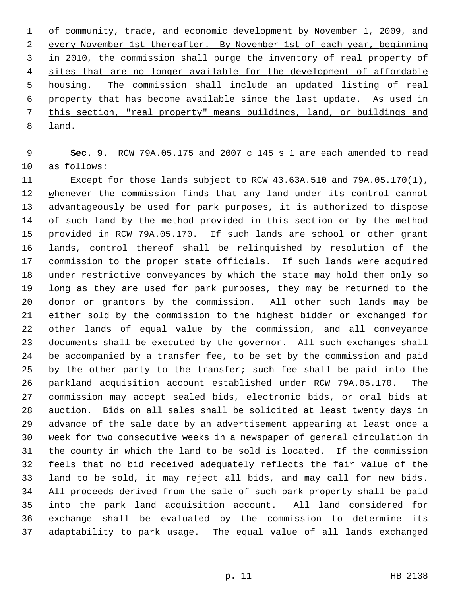of community, trade, and economic development by November 1, 2009, and every November 1st thereafter. By November 1st of each year, beginning in 2010, the commission shall purge the inventory of real property of sites that are no longer available for the development of affordable housing. The commission shall include an updated listing of real property that has become available since the last update. As used in this section, "real property" means buildings, land, or buildings and 8 land.

 9 **Sec. 9.** RCW 79A.05.175 and 2007 c 145 s 1 are each amended to read 10 as follows:

11 Except for those lands subject to RCW 43.63A.510 and 79A.05.170(1), 12 whenever the commission finds that any land under its control cannot 13 advantageously be used for park purposes, it is authorized to dispose 14 of such land by the method provided in this section or by the method 15 provided in RCW 79A.05.170. If such lands are school or other grant 16 lands, control thereof shall be relinquished by resolution of the 17 commission to the proper state officials. If such lands were acquired 18 under restrictive conveyances by which the state may hold them only so 19 long as they are used for park purposes, they may be returned to the 20 donor or grantors by the commission. All other such lands may be 21 either sold by the commission to the highest bidder or exchanged for 22 other lands of equal value by the commission, and all conveyance 23 documents shall be executed by the governor. All such exchanges shall 24 be accompanied by a transfer fee, to be set by the commission and paid 25 by the other party to the transfer; such fee shall be paid into the 26 parkland acquisition account established under RCW 79A.05.170. The 27 commission may accept sealed bids, electronic bids, or oral bids at 28 auction. Bids on all sales shall be solicited at least twenty days in 29 advance of the sale date by an advertisement appearing at least once a 30 week for two consecutive weeks in a newspaper of general circulation in 31 the county in which the land to be sold is located. If the commission 32 feels that no bid received adequately reflects the fair value of the 33 land to be sold, it may reject all bids, and may call for new bids. 34 All proceeds derived from the sale of such park property shall be paid 35 into the park land acquisition account. All land considered for 36 exchange shall be evaluated by the commission to determine its 37 adaptability to park usage. The equal value of all lands exchanged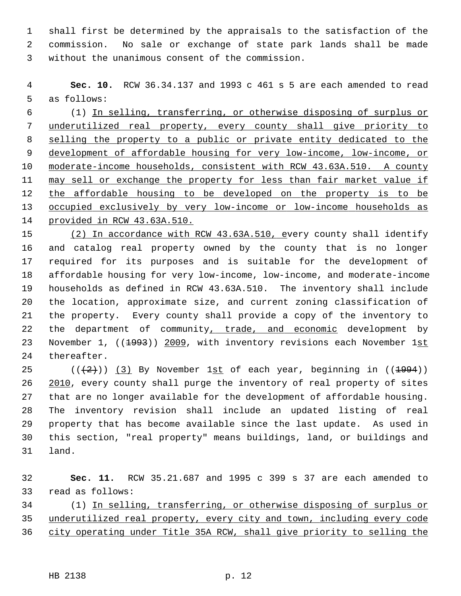1 shall first be determined by the appraisals to the satisfaction of the 2 commission. No sale or exchange of state park lands shall be made 3 without the unanimous consent of the commission.

 4 **Sec. 10.** RCW 36.34.137 and 1993 c 461 s 5 are each amended to read 5 as follows:

 6 (1) In selling, transferring, or otherwise disposing of surplus or underutilized real property, every county shall give priority to selling the property to a public or private entity dedicated to the development of affordable housing for very low-income, low-income, or moderate-income households, consistent with RCW 43.63A.510. A county may sell or exchange the property for less than fair market value if 12 the affordable housing to be developed on the property is to be occupied exclusively by very low-income or low-income households as provided in RCW 43.63A.510.

15 (2) In accordance with RCW 43.63A.510, every county shall identify 16 and catalog real property owned by the county that is no longer 17 required for its purposes and is suitable for the development of 18 affordable housing for very low-income, low-income, and moderate-income 19 households as defined in RCW 43.63A.510. The inventory shall include 20 the location, approximate size, and current zoning classification of 21 the property. Every county shall provide a copy of the inventory to 22 the department of community, trade, and economic development by 23 November 1, ((<del>1993</del>)) 2009, with inventory revisions each November 1st 24 thereafter.

25 ( $(\frac{2}{2})$ ) (3) By November 1st of each year, beginning in ( $(\frac{1994}{2})$ ) 26 2010, every county shall purge the inventory of real property of sites 27 that are no longer available for the development of affordable housing. 28 The inventory revision shall include an updated listing of real 29 property that has become available since the last update. As used in 30 this section, "real property" means buildings, land, or buildings and 31 land.

32 **Sec. 11.** RCW 35.21.687 and 1995 c 399 s 37 are each amended to 33 read as follows:

34 (1) In selling, transferring, or otherwise disposing of surplus or 35 underutilized real property, every city and town, including every code 36 city operating under Title 35A RCW, shall give priority to selling the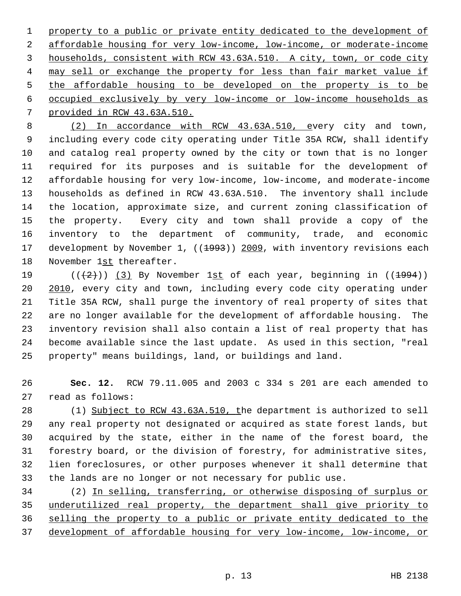property to a public or private entity dedicated to the development of affordable housing for very low-income, low-income, or moderate-income households, consistent with RCW 43.63A.510. A city, town, or code city may sell or exchange the property for less than fair market value if the affordable housing to be developed on the property is to be occupied exclusively by very low-income or low-income households as provided in RCW 43.63A.510.

 8 (2) In accordance with RCW 43.63A.510, every city and town, 9 including every code city operating under Title 35A RCW, shall identify 10 and catalog real property owned by the city or town that is no longer 11 required for its purposes and is suitable for the development of 12 affordable housing for very low-income, low-income, and moderate-income 13 households as defined in RCW 43.63A.510. The inventory shall include 14 the location, approximate size, and current zoning classification of 15 the property. Every city and town shall provide a copy of the 16 inventory to the department of community, trade, and economic 17 development by November 1, ((1993)) 2009, with inventory revisions each 18 November 1st thereafter.

19  $((+2)^{n})$  (3) By November 1st of each year, beginning in  $((+994))$ 20 2010, every city and town, including every code city operating under 21 Title 35A RCW, shall purge the inventory of real property of sites that 22 are no longer available for the development of affordable housing. The 23 inventory revision shall also contain a list of real property that has 24 become available since the last update. As used in this section, "real 25 property" means buildings, land, or buildings and land.

26 **Sec. 12.** RCW 79.11.005 and 2003 c 334 s 201 are each amended to 27 read as follows:

28 (1) Subject to RCW 43.63A.510, the department is authorized to sell 29 any real property not designated or acquired as state forest lands, but 30 acquired by the state, either in the name of the forest board, the 31 forestry board, or the division of forestry, for administrative sites, 32 lien foreclosures, or other purposes whenever it shall determine that 33 the lands are no longer or not necessary for public use.

34 (2) In selling, transferring, or otherwise disposing of surplus or underutilized real property, the department shall give priority to selling the property to a public or private entity dedicated to the development of affordable housing for very low-income, low-income, or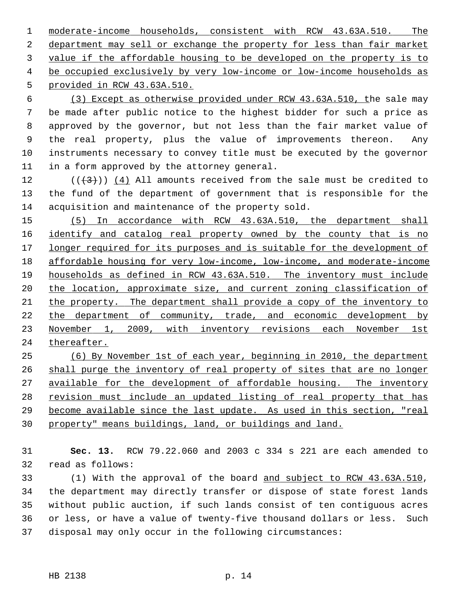moderate-income households, consistent with RCW 43.63A.510. The department may sell or exchange the property for less than fair market value if the affordable housing to be developed on the property is to be occupied exclusively by very low-income or low-income households as provided in RCW 43.63A.510.

 6 (3) Except as otherwise provided under RCW 43.63A.510, the sale may 7 be made after public notice to the highest bidder for such a price as 8 approved by the governor, but not less than the fair market value of 9 the real property, plus the value of improvements thereon. Any 10 instruments necessary to convey title must be executed by the governor 11 in a form approved by the attorney general.

12  $((+3))$   $(4)$  All amounts received from the sale must be credited to 13 the fund of the department of government that is responsible for the 14 acquisition and maintenance of the property sold.

 (5) In accordance with RCW 43.63A.510, the department shall identify and catalog real property owned by the county that is no longer required for its purposes and is suitable for the development of affordable housing for very low-income, low-income, and moderate-income households as defined in RCW 43.63A.510. The inventory must include the location, approximate size, and current zoning classification of 21 the property. The department shall provide a copy of the inventory to the department of community, trade, and economic development by November 1, 2009, with inventory revisions each November 1st thereafter.

 (6) By November 1st of each year, beginning in 2010, the department shall purge the inventory of real property of sites that are no longer 27 available for the development of affordable housing. The inventory revision must include an updated listing of real property that has become available since the last update. As used in this section, "real property" means buildings, land, or buildings and land.

31 **Sec. 13.** RCW 79.22.060 and 2003 c 334 s 221 are each amended to 32 read as follows:

33 (1) With the approval of the board and subject to RCW 43.63A.510, 34 the department may directly transfer or dispose of state forest lands 35 without public auction, if such lands consist of ten contiguous acres 36 or less, or have a value of twenty-five thousand dollars or less. Such 37 disposal may only occur in the following circumstances: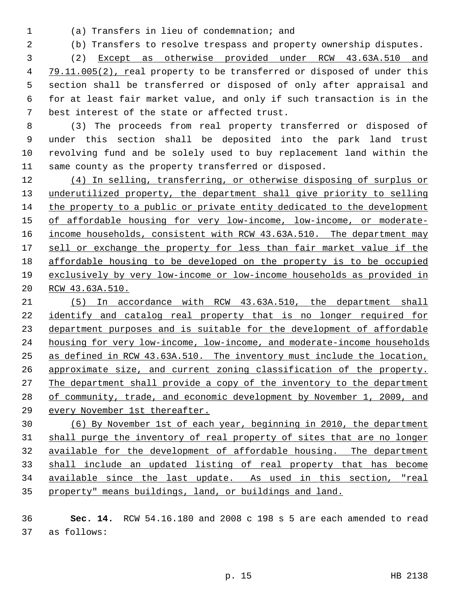- 
- 1 (a) Transfers in lieu of condemnation; and

2 (b) Transfers to resolve trespass and property ownership disputes.

 3 (2) Except as otherwise provided under RCW 43.63A.510 and 79.11.005(2), real property to be transferred or disposed of under this 5 section shall be transferred or disposed of only after appraisal and 6 for at least fair market value, and only if such transaction is in the 7 best interest of the state or affected trust.

 8 (3) The proceeds from real property transferred or disposed of 9 under this section shall be deposited into the park land trust 10 revolving fund and be solely used to buy replacement land within the 11 same county as the property transferred or disposed.

 (4) In selling, transferring, or otherwise disposing of surplus or underutilized property, the department shall give priority to selling the property to a public or private entity dedicated to the development of affordable housing for very low-income, low-income, or moderate- income households, consistent with RCW 43.63A.510. The department may sell or exchange the property for less than fair market value if the affordable housing to be developed on the property is to be occupied exclusively by very low-income or low-income households as provided in RCW 43.63A.510.

 (5) In accordance with RCW 43.63A.510, the department shall identify and catalog real property that is no longer required for department purposes and is suitable for the development of affordable housing for very low-income, low-income, and moderate-income households as defined in RCW 43.63A.510. The inventory must include the location, approximate size, and current zoning classification of the property. The department shall provide a copy of the inventory to the department of community, trade, and economic development by November 1, 2009, and every November 1st thereafter.

 (6) By November 1st of each year, beginning in 2010, the department shall purge the inventory of real property of sites that are no longer available for the development of affordable housing. The department shall include an updated listing of real property that has become available since the last update. As used in this section, "real property" means buildings, land, or buildings and land.

 **Sec. 14.** RCW 54.16.180 and 2008 c 198 s 5 are each amended to read 37 as follows: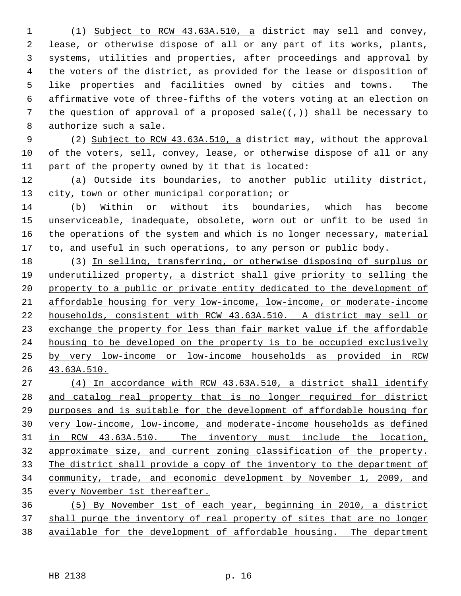1 (1) Subject to RCW 43.63A.510, a district may sell and convey, 2 lease, or otherwise dispose of all or any part of its works, plants, 3 systems, utilities and properties, after proceedings and approval by 4 the voters of the district, as provided for the lease or disposition of 5 like properties and facilities owned by cities and towns. The 6 affirmative vote of three-fifths of the voters voting at an election on 7 the question of approval of a proposed sale( $(\tau)$ ) shall be necessary to 8 authorize such a sale.

 9 (2) Subject to RCW 43.63A.510, a district may, without the approval 10 of the voters, sell, convey, lease, or otherwise dispose of all or any 11 part of the property owned by it that is located:

12 (a) Outside its boundaries, to another public utility district, 13 city, town or other municipal corporation; or

14 (b) Within or without its boundaries, which has become 15 unserviceable, inadequate, obsolete, worn out or unfit to be used in 16 the operations of the system and which is no longer necessary, material 17 to, and useful in such operations, to any person or public body.

18 (3) In selling, transferring, or otherwise disposing of surplus or underutilized property, a district shall give priority to selling the property to a public or private entity dedicated to the development of affordable housing for very low-income, low-income, or moderate-income households, consistent with RCW 43.63A.510. A district may sell or exchange the property for less than fair market value if the affordable housing to be developed on the property is to be occupied exclusively by very low-income or low-income households as provided in RCW 43.63A.510.

 (4) In accordance with RCW 43.63A.510, a district shall identify 28 and catalog real property that is no longer required for district purposes and is suitable for the development of affordable housing for very low-income, low-income, and moderate-income households as defined in RCW 43.63A.510. The inventory must include the location, approximate size, and current zoning classification of the property. The district shall provide a copy of the inventory to the department of community, trade, and economic development by November 1, 2009, and every November 1st thereafter. (5) By November 1st of each year, beginning in 2010, a district

37 shall purge the inventory of real property of sites that are no longer 38 available for the development of affordable housing. The department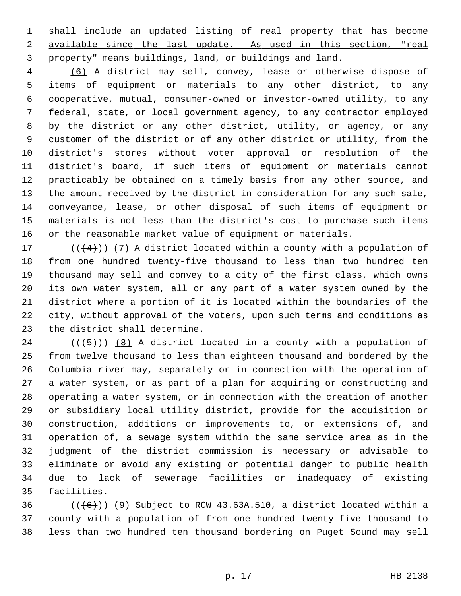1 shall include an updated listing of real property that has become 2 available since the last update. As used in this section, "real 3 property" means buildings, land, or buildings and land.

 4 (6) A district may sell, convey, lease or otherwise dispose of 5 items of equipment or materials to any other district, to any 6 cooperative, mutual, consumer-owned or investor-owned utility, to any 7 federal, state, or local government agency, to any contractor employed 8 by the district or any other district, utility, or agency, or any 9 customer of the district or of any other district or utility, from the 10 district's stores without voter approval or resolution of the 11 district's board, if such items of equipment or materials cannot 12 practicably be obtained on a timely basis from any other source, and 13 the amount received by the district in consideration for any such sale, 14 conveyance, lease, or other disposal of such items of equipment or 15 materials is not less than the district's cost to purchase such items 16 or the reasonable market value of equipment or materials.

17 ( $(\frac{4}{4})$ ) (7) A district located within a county with a population of 18 from one hundred twenty-five thousand to less than two hundred ten 19 thousand may sell and convey to a city of the first class, which owns 20 its own water system, all or any part of a water system owned by the 21 district where a portion of it is located within the boundaries of the 22 city, without approval of the voters, upon such terms and conditions as 23 the district shall determine.

24 ( $(\overline{5})$ ) (8) A district located in a county with a population of 25 from twelve thousand to less than eighteen thousand and bordered by the 26 Columbia river may, separately or in connection with the operation of 27 a water system, or as part of a plan for acquiring or constructing and 28 operating a water system, or in connection with the creation of another 29 or subsidiary local utility district, provide for the acquisition or 30 construction, additions or improvements to, or extensions of, and 31 operation of, a sewage system within the same service area as in the 32 judgment of the district commission is necessary or advisable to 33 eliminate or avoid any existing or potential danger to public health 34 due to lack of sewerage facilities or inadequacy of existing 35 facilities.

36  $((+6))$  (9) Subject to RCW 43.63A.510, a district located within a 37 county with a population of from one hundred twenty-five thousand to 38 less than two hundred ten thousand bordering on Puget Sound may sell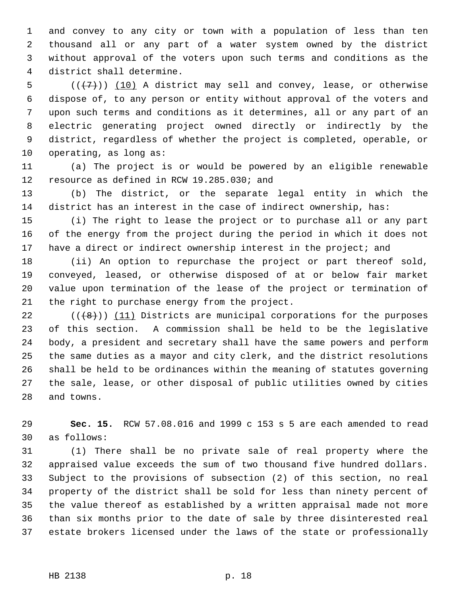1 and convey to any city or town with a population of less than ten 2 thousand all or any part of a water system owned by the district 3 without approval of the voters upon such terms and conditions as the 4 district shall determine.

5  $((+7))$   $(10)$  A district may sell and convey, lease, or otherwise 6 dispose of, to any person or entity without approval of the voters and 7 upon such terms and conditions as it determines, all or any part of an 8 electric generating project owned directly or indirectly by the 9 district, regardless of whether the project is completed, operable, or 10 operating, as long as:

11 (a) The project is or would be powered by an eligible renewable 12 resource as defined in RCW 19.285.030; and

13 (b) The district, or the separate legal entity in which the 14 district has an interest in the case of indirect ownership, has:

15 (i) The right to lease the project or to purchase all or any part 16 of the energy from the project during the period in which it does not 17 have a direct or indirect ownership interest in the project; and

18 (ii) An option to repurchase the project or part thereof sold, 19 conveyed, leased, or otherwise disposed of at or below fair market 20 value upon termination of the lease of the project or termination of 21 the right to purchase energy from the project.

22  $((\lbrace 8 \rbrace))$  (11) Districts are municipal corporations for the purposes 23 of this section. A commission shall be held to be the legislative 24 body, a president and secretary shall have the same powers and perform 25 the same duties as a mayor and city clerk, and the district resolutions 26 shall be held to be ordinances within the meaning of statutes governing 27 the sale, lease, or other disposal of public utilities owned by cities 28 and towns.

29 **Sec. 15.** RCW 57.08.016 and 1999 c 153 s 5 are each amended to read 30 as follows:

31 (1) There shall be no private sale of real property where the 32 appraised value exceeds the sum of two thousand five hundred dollars. 33 Subject to the provisions of subsection (2) of this section, no real 34 property of the district shall be sold for less than ninety percent of 35 the value thereof as established by a written appraisal made not more 36 than six months prior to the date of sale by three disinterested real 37 estate brokers licensed under the laws of the state or professionally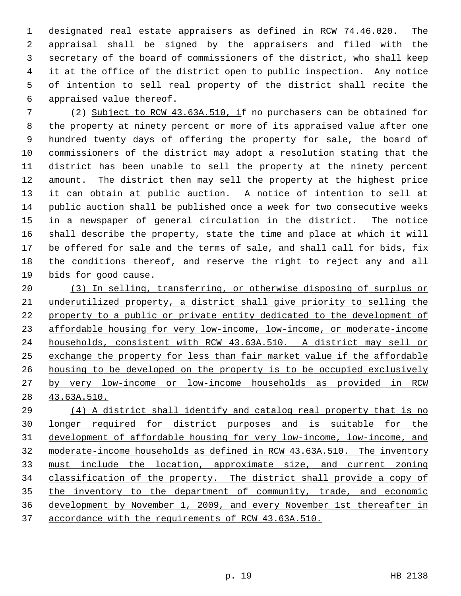1 designated real estate appraisers as defined in RCW 74.46.020. The 2 appraisal shall be signed by the appraisers and filed with the 3 secretary of the board of commissioners of the district, who shall keep 4 it at the office of the district open to public inspection. Any notice 5 of intention to sell real property of the district shall recite the 6 appraised value thereof.

 7 (2) Subject to RCW 43.63A.510, if no purchasers can be obtained for 8 the property at ninety percent or more of its appraised value after one 9 hundred twenty days of offering the property for sale, the board of 10 commissioners of the district may adopt a resolution stating that the 11 district has been unable to sell the property at the ninety percent 12 amount. The district then may sell the property at the highest price 13 it can obtain at public auction. A notice of intention to sell at 14 public auction shall be published once a week for two consecutive weeks 15 in a newspaper of general circulation in the district. The notice 16 shall describe the property, state the time and place at which it will 17 be offered for sale and the terms of sale, and shall call for bids, fix 18 the conditions thereof, and reserve the right to reject any and all 19 bids for good cause.

 (3) In selling, transferring, or otherwise disposing of surplus or underutilized property, a district shall give priority to selling the property to a public or private entity dedicated to the development of affordable housing for very low-income, low-income, or moderate-income households, consistent with RCW 43.63A.510. A district may sell or exchange the property for less than fair market value if the affordable housing to be developed on the property is to be occupied exclusively by very low-income or low-income households as provided in RCW 43.63A.510.

 (4) A district shall identify and catalog real property that is no longer required for district purposes and is suitable for the development of affordable housing for very low-income, low-income, and moderate-income households as defined in RCW 43.63A.510. The inventory must include the location, approximate size, and current zoning classification of the property. The district shall provide a copy of the inventory to the department of community, trade, and economic development by November 1, 2009, and every November 1st thereafter in accordance with the requirements of RCW 43.63A.510.